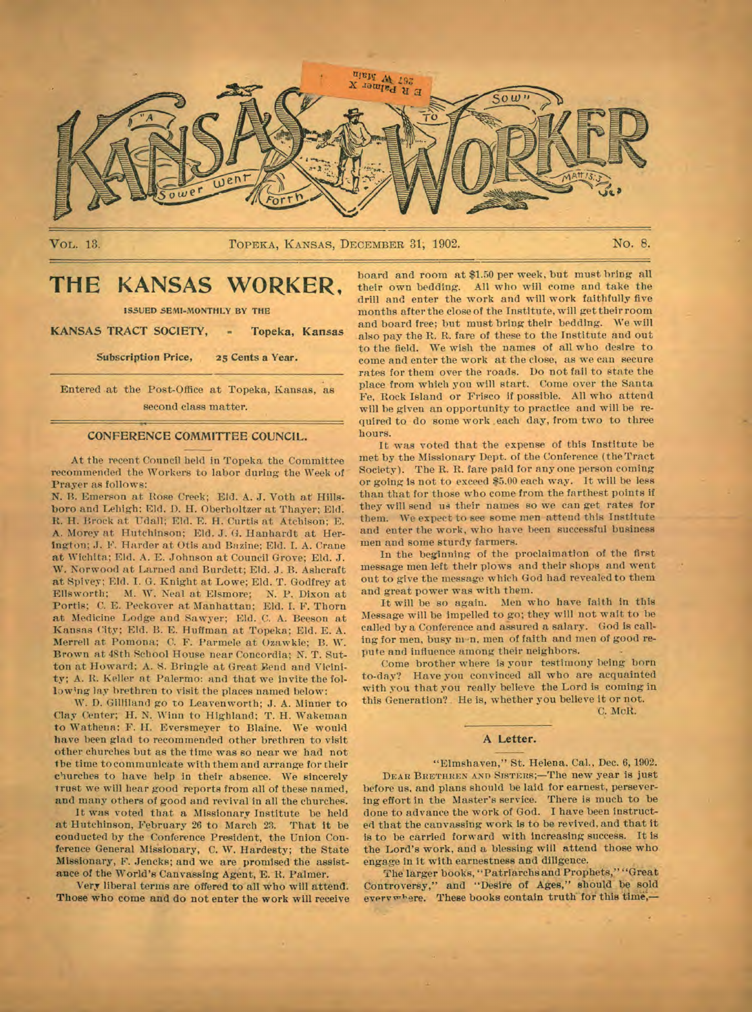

VOL. 13.

TOPEKA, KANSAS, DECEMBER 31, 1902.

No. 8.

## KANSAS WORKER. THE

**ISSUED SEMI-MONTHLY BY THE** 

KANSAS TRACT SOCIETY, Topeka, Kansas

> Subscription Price, 25 Cents a Year.

Entered at the Post-Office at Topeka, Kansas, as second class matter.

#### CONFERENCE COMMITTEE COUNCIL.

At the recent Council held in Topeka the Committee recommended the Workers to labor during the Week of Prayer as follows:

N. B. Emerson at Rose Creek; Eld. A. J. Voth at Hillsboro and Lehigh; Eld. D. H. Oberholtzer at Thayer; Eld. R. H. Brock at Udall; Eld. E. H. Curtis at Atchison; E. A. Morey at Hutchinson; Eld. J. G. Hanhardt at Herington; J. F. Harder at Otis and Bazine; Eld. I. A. Crane at Wichita; Eld. A. E. Johnson at Council Grove; Eld. J. W. Norwood at Larned and Burdett; Eld. J. B. Ashcraft at Spivey; Eld. I. G. Knight at Lowe; Eld. T. Godfrey at Ellsworth; M. W. Neal at Elsmore; N. P. Dixon at Portis; C. E. Peckover at Manhattan; Eld. I. F. Thorn at Medicine Lodge and Sawyer; Eld. C. A. Beeson at Kansas City; Eld. B. E. Huffman at Topeka; Eld. E. A. Merrell at Pomona; C. F. Parmele at Ozawkie; B. W. Brown at 48th School House near Concordia; N. T. Sutton at Howard; A. S. Bringle at Great Bend and Vicinity; A. R. Keller at Palermo: and that we invite the following lay brethren to visit the places named below:

W. D. Gilliland go to Leavenworth; J. A. Minner to Clay Center; H. N. Winn to Highland; T. H. Wakeman to Wathena: F. H. Eversmeyer to Blaine. We would have been glad to recommended other brethren to visit other churches but as the time was so near we had not the time to communicate with them and arrange for their churches to have help in their absence. We sincerely trust we will hear good reports from all of these named, and many others of good and revival in all the churches.

It was voted that a Missionary Institute be held at Hutchinson, February 26 to March 23. That it be conducted by the Conference President, the Union Conference General Missionary, C. W. Hardesty; the State Missionary, F. Jencks; and we are promised the assistance of the World's Canvassing Agent, E. R. Palmer.

Very liberal terms are offered to all who will attend. Those who come and do not enter the work will receive

board and room at \$1.50 per week, but must bring all their own bedding. All who will come and take the drill and enter the work and will work faithfully five months after the close of the Institute, will get their room and board free; but must bring their bedding. We will also pay the R. R. fare of these to the Institute and out to the field. We wish the names of all who desire to come and enter the work at the close, as we can secure rates for them over the roads. Do not fail to state the place from which you will start. Come over the Santa Fe, Rock Island or Frisco if possible. All who attend will be given an opportunity to practice and will be required to do some work each day, from two to three hours.

It was voted that the expense of this Institute be met by the Missionary Dept. of the Conference (the Tract Society). The R. R. fare paid for any one person coming or going is not to exceed \$5.00 each way. It will be less than that for those who come from the farthest points if they will send us their names so we can get rates for them. We expect to see some men attend this Institute and enter the work, who have been successful business men and some sturdy farmers.

In the beginning of the proclaimation of the first message men left their plows and their shops and went out to give the message which God had revealed to them and great power was with them.

It will be so again. Men who have faith in this Message will be impelled to go; they will not wait to be called by a Conference and assured a salary. God is calling for men, busy m-n, men of faith and men of good repute and influence among their neighbors.

Come brother where is your testimony being born to-day? Have you convinced all who are acquainted with you that you really believe the Lord is coming in this Generation? He is, whether you believe it or not.

C. McR.

## A Letter.

"Elmshaven," St. Helena. Cal., Dec. 6, 1902. DEAR BRETHREN AND SISTERS;-The new year is just before us, and plans should be laid for earnest, persevering effort in the Master's service. There is much to be done to advance the work of God. I have been instructed that the canvassing work is to be revived, and that it is to be carried forward with increasing success. It is the Lord's work, and a blessing will attend those who engage in it with earnestness and diligence.

The larger books, "Patriarchs and Prophets," "Great Controversy," and "Desire of Ages," should be sold everywhere. These books contain truth for this time,-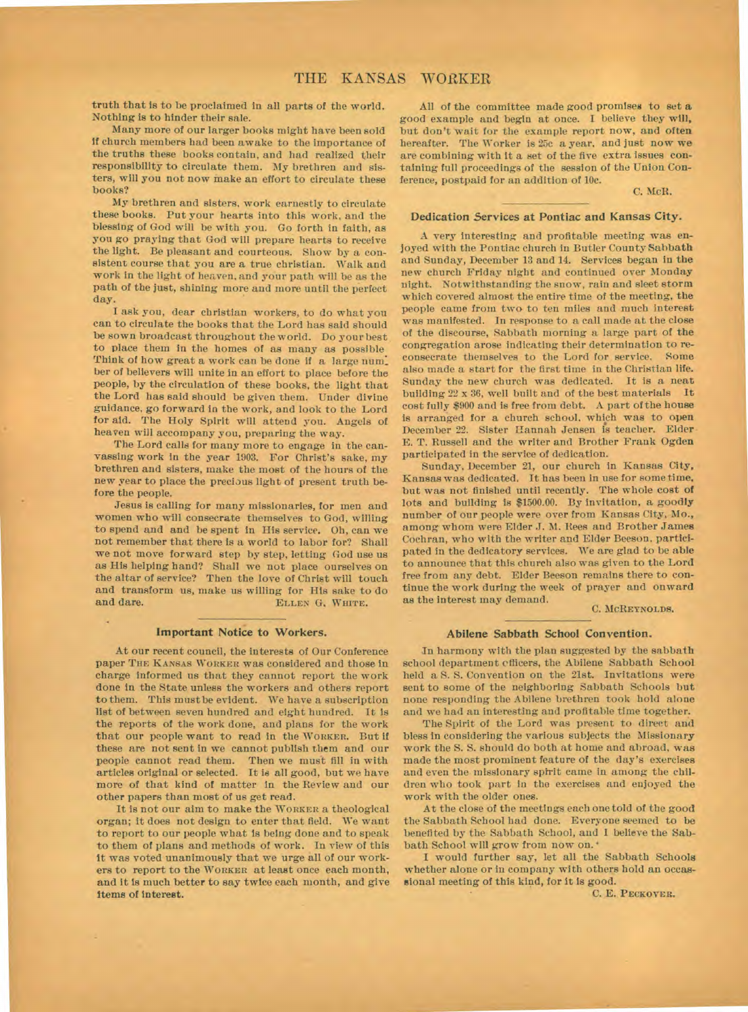truth that is to be proclaimed in all parts of the world. Nothing is to hinder their sale.

Many more of our larger books might have been sold if church members had been awake to the importance of the truths these books contain, and had realized their responsibility to circulate them. My brethren and sisters, will you not now make an effort to circulate these books?

My brethren and sisters, work earnestly to circulate these books. Put your hearts into this work, and the blessing of God will be with you. Go forth in faith, as you go praying that God will prepare hearts to receive the light. Be pleasant and courteous. Show by a consistent course that you are a true christian. Walk and work in the light of heaven, and your path will be as the path of the just, shining more and more until the perfect day.

I ask you, dear christian workers, to do what you can to circulate the books that the Lord has said should be sown broadcast throughout the world. Do your best to place them in the homes of as many as possible Think of how great a work can be done if a large num: ber of believers will unite in an effort to place before the people, by the circulation of these books, the light that the Lord has said should be given them. Under divine guidance, go forward in the work, and look to the Lord for aid. The Holy Spirit will attend you. Angels of heaven will accompany you, preparing the way.

The Lord calls for many more to engage in the canvassing work in the year 1903. For Christ's sake, my brethren and sisters, make the most of the hours of the new year to place the precious light of present truth before the people.

Jesus is calling for many missionaries, for men and women who will consecrate themselves to God, willing to spend and and be spent in His service. Oh, can we not remember that there is a world to labor for? Shall we not move forward step by step, letting God use us as His helping hand? Shall we not place ourselves on the altar of service? Then the love of Christ will touch and transform us, make us willing for His sake to do and dare. ELLEN G, WHITE. and dare. **ELLEN** 0. **WHITE.** 

## **Important Notice to Workers.**

At our recent council, the interests of Our Conference paper **THE KANSAS WORKER** *was* considered and those in charge informed us that they cannot report the work done in the State unless the workers and others report to them. This must be evident. We have a subscription list of between seven hundred and eight hundred. It is the reports of the work done, and plans for the work that our people want to read in the **WORKER.** But if these are not sent in we cannot publish them and our people cannot read them. Then we must fill in with articles original or selected. It is all good, but we have more of that kind of matter in the Review and our other papers than most of us get read.

It is not our aim to make the **WORKER** a theological organ; it does not design to enter that field. We want to report to our people what is being done and to speak to them of plans and methods of work. In view of this it was voted unanimously that we urge all of our workers to report to the **WORKER** at least once each month, and it is much better to say twice each month, and give Items of interest.

All of the committee made good promises to set **a**  good example and begin at once. I believe they will, but don't wait for the example report now, and often hereafter. The Worker is 25c a year, and just now **we**  are combining with it a set of the five extra issues containing full proceedings of the session of the Union Conference, postpaid for an addition of 10c.

C. McR.

### **Dedication Services at Pontiac and Kansas City.**

A very interesting and profitable meeting was enjoyed with the Pontiac church in Butler County Sabbath and Sunday, December 13 and 14. Services began in the new church Friday night and continued over Monday night. Notwithstanding the snow, rain and sleet storm which covered almost the entire time of the meeting, the people came from two to ten miles and much interest was manifested. In response to a call made at the close of the discourse, Sabbath morning a large part of the congregation arose indicating their determination to reconsecrate themselves to the Lord for service. Some also made a start for the first time in the Christian life. Sunday the new church was dedicated. It is a neat building 22 x 36, well built and of the best materials It cost fully \$900 and is free from debt. A part of the house is arranged for a church school. which was to open December 22. Sister Hannah Jensen is teacher. Elder E. T. Russell and the writer and Brother Frank Ogden participated in the service of dedication.

Sunday, December 21, our church in Kansas City, Kansas was dedicated. It has been in use for sometime, but was not finished until recently. The whole cost of lots and building is \$1500.00. By invitation, a goodly number of our people were over from Kansas City, Mo., among whom were Elder J. M. Rees and Brother James Cochran, who with the writer and Elder Beeson, participated in the dedicatory services. We are glad to be able to announce that this church also was given to the Lord free from any debt. Elder Beeson remains there to continue the work during the week of prayer and onward as the interest may demand.

C. McREYNOLDS.

#### **Abilene Sabbath School Convention.**

1n harmony with the plan suggested by the sabbath school department cfficers, the Abilene Sabbath School held a S. S. Convention on the 21st. Invitations were sent to some of the neighboring Sabbath Schools but none responding the Abilene brethren took hold alone and we had an interesting and profitable time together.

The Spirit of the Lord was present to direct and bless in considering the various subjects the Missionary work the S. S. should do both at home and abroad, was made the most prominent feature of the day's exercises and even the missionary sptrit came in among the children who took part in the exercises and enjoyed the work with the older ones.

At the close of the meetings each one told of the good the Sabbath School had done. Everyone seemed to be benefited by the Sabbath School, and I believe the Sabbath School will grow from now on. •

I would further say, let all the Sabbath Schools whether alone or in company with others hold an occasslonal meeting of this kind, for it is good.

C. E. **PECKOVER.**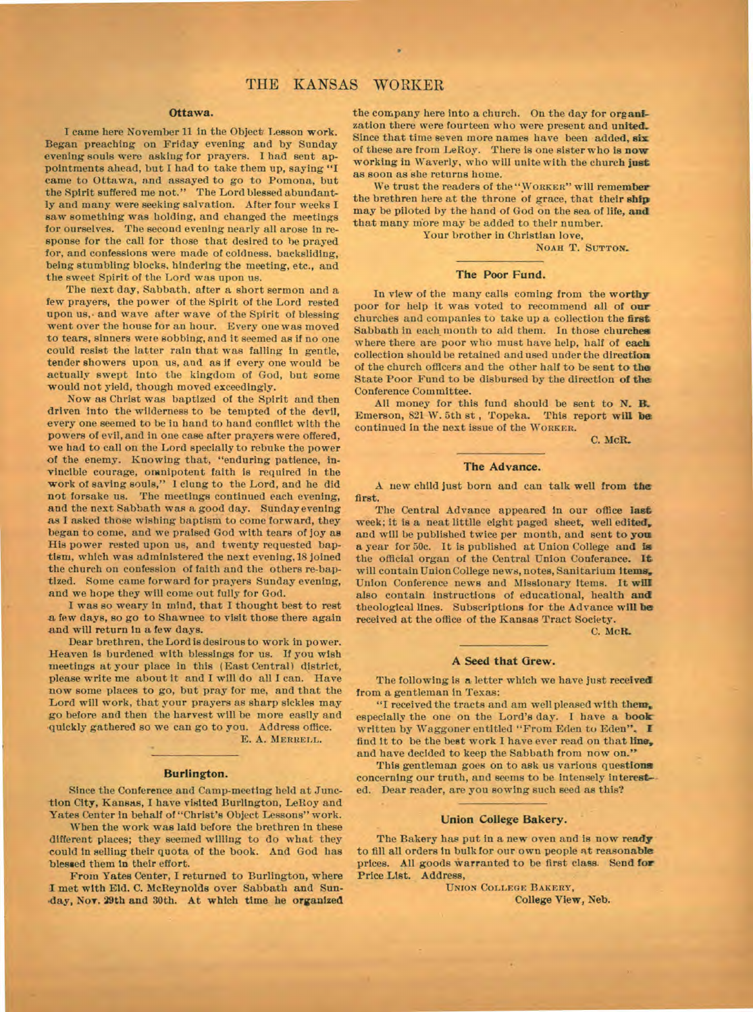## **Ottawa.**

**I** came here November 11 in the Object Lesson work. Began preaching on Friday evening and by Sunday evening souls were asking for prayers. I had sent appointments ahead, but I had to take them up, saying **"I**  came to Ottawa, and assayed to go to Pomona, but the Spirit suffered me not." The Lord blessed abundantly and many were seeking salvation. After four weeks **I**  saw something was holding, and changed the meetings for ourselves. The second evening nearly all arose in response for the call for those that desired to he prayed for, and confessions were made of coldness, backsliding, being stumbling blocks, hindering the meeting, etc., and the sweet Spirit of the Lord was upon us.

The next day, Sabbath, after a short sermon and a few prayers, the power of the Spirit of the Lord rested upon us,• and wave after wave of the Spirit of blessing went over the house for an hour. Every one was moved to tears, sinners were sobbing, and it seemed as if no one could resist the latter rain that was falling in *gentle,*  tender showers upon us, and as if every one would be actually swept into the kingdom of God, but some would not yield, though moved exceedingly.

Now as Christ was baptized of the Spirit and then driven into the wilderness to be tempted of the devil, every one seemed to be in hand to hand conflict with the powers of evil, and in one case after prayers were offered, we had to call on the Lord specially to rebuke the power of the enemy. Knowing that, "enduring patience, invincible courage, omnipotent faith is required in the work of saving souls," 1 clung to the Lord, and he did not forsake us. The meetings continued each evening, and the next Sabbath was a good day. Sunday evening as I asked those wishing baptism to come forward, they began to come, and we praised God with tears of joy as His power rested upon us, and twenty requested baptism, which was administered the next evening, 18 joined the church on confession of faith and the others re-baptized. Some came forward for prayers Sunday evening, and we hope they will come out fully for God.

I was so weary in mind, that **I** thought best to rest a few days, so go to Shawnee to visit those there again and will return in a few days.

Dear brethren, the Lord is desirous to work in power. Heaven is burdened with blessings for us. If you wish meetings at your place in this (East Central) district, please write me about it and I will do all I can. Have now some places to go, but pray for me, and that the Lord will work, that your prayers as sharp sickles may go before and then the harvest will be more easily and 'quickly gathered so we can go to you. Address office.

E. A. **MERRELL.** 

## **Burlington.**

Since the Conference and Camp-meeting held at Junction City, Kansas, **I** have visited Burlington, LeRoy and Yates Center in behalf of "Christ's Object Lessons" work.

When the work was laid before the brethren in these different places; they seemed willing to do what they could in selling their quota of the book. And God has blessed them in their effort.

From Yates Center, I returned to Burlington, where I met with Eld. C. McReynolds over Sabbath and Sun- 'day, Nov. 29th and 30th. At **which time he organized** 

**the** company here into a church. On the day for **organization there were fourteen who** were present **and united\_**  Since that time seven more names have been added, six of these are from LeRoy. There is one sister who is **now**  working in Waverly, who will unite with the church **just**  as soon as she returns home.

We trust the readers of the **"WORKER" will remember the brethren here at the throne of grace, that their ship**  may be piloted by the hand of God on the sea of life, **and**  that many more may be added to their number.

Your brother in Christian love, **NOAH T. SUTTON.** 

#### **The Poor Fund.**

**In** view of the many calls coming from **the worthy**  poor for help it was voted to recommend all of **our**  churches and companies to take up a collection the **first**  Sabbath in each mouth to aid them. In **those churches where there** are poor who must have help, half of **each collection should be retained and used under the direction of the church officers and the other half to be sent to the**  State Poor Fund **to be disbursed** by the direction **of the**  Conference Committee.

All money for this fund should be sent to **N. B.**  Emerson, 821 W. 5th st , Topeka. This report **will be**  continued in the next issue of the **WORKER.** 

**C. MeR..** 

#### **The Advance.**

A new child just born and can talk well from **the first.** 

**The Central** Advance appeared in our office **last week; it is a neat littlle eight paged sheet, well edited, and will be published twice per month, and sent to you**  a year for 50c. It is published at Union College and is the official organ of the Central Union Conferance. It will contain Union College news, notes, Sanitarium items, Union Conference news and Missionary items. It **will**  also contain instructions of educational, health **and**  theological lines. Subscriptions for the Advance **will be received at the office of the Kansas Tract Society.** 

**C. McR.** 

#### **A Seed that Grew.**

**The following is a letter which we have just received from a gentleman** in Texas:

"I received the tracts and am well pleased with **them, especially the one on the Lord's day. I have a book**  written by Waggoner entitled "From Eden to Eden", find it to be the best work **I** have ever read on that **line,**  and have decided to keep the Sabbath from now on."

This gentleman goes on to ask us various questions concerning our truth, and seems to be intensely interest- ed. Dear reader, are you sowing such seed as this?

#### **Union College Bakery.**

**The Bakery has put in a new oven and is now ready to fill all orders in bulk for our own people at reasonable prices. All goods warranted to be first class. Send for**  Price List. Address,

**UNION COLLEGE BAKERY, College View, Neb.**